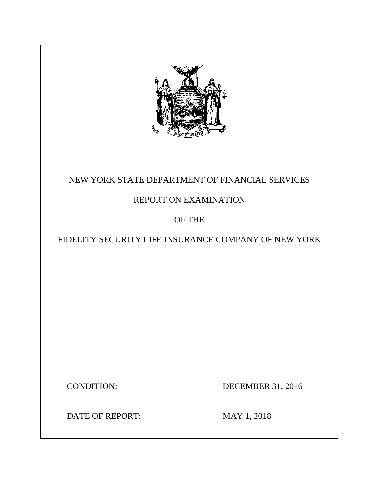

# NEW YORK STATE DEPARTMENT OF FINANCIAL SERVICES

# REPORT ON EXAMINATION

# OF THE

# FIDELITY SECURITY LIFE INSURANCE COMPANY OF NEW YORK

CONDITION: DECEMBER 31, 2016

DATE OF REPORT: MAY 1, 2018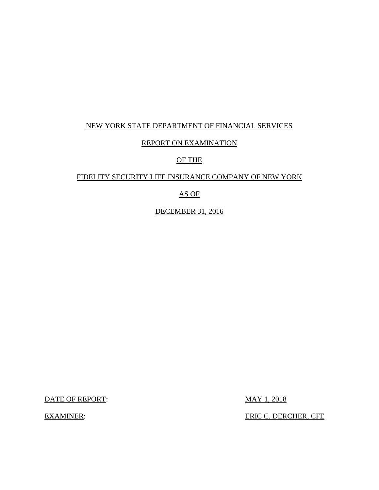## NEW YORK STATE DEPARTMENT OF FINANCIAL SERVICES

## REPORT ON EXAMINATION

## OF THE

### FIDELITY SECURITY LIFE INSURANCE COMPANY OF NEW YORK

## AS OF

DECEMBER 31, 2016

DATE OF REPORT: MAY 1, 2018

EXAMINER: EXAMINER: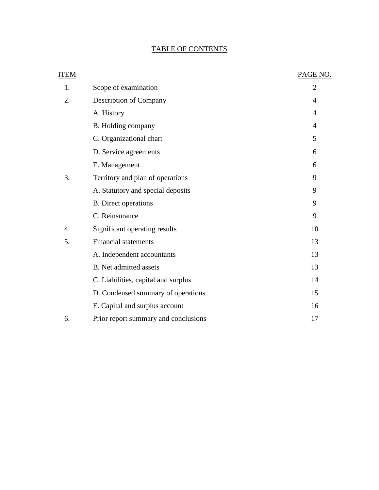# TABLE OF CONTENTS

| ITEM |                                      | PAGE NO.       |
|------|--------------------------------------|----------------|
| 1.   | Scope of examination                 | $\overline{2}$ |
| 2.   | Description of Company               | 4              |
|      | A. History                           | 4              |
|      | B. Holding company                   | 4              |
|      | C. Organizational chart              | 5              |
|      | D. Service agreements                | 6              |
|      | E. Management                        | 6              |
| 3.   | Territory and plan of operations     | 9              |
|      | A. Statutory and special deposits    | 9              |
|      | <b>B.</b> Direct operations          | 9              |
|      | C. Reinsurance                       | 9              |
| 4.   | Significant operating results        | 10             |
| 5.   | <b>Financial statements</b>          | 13             |
|      | A. Independent accountants           | 13             |
|      | <b>B.</b> Net admitted assets        | 13             |
|      | C. Liabilities, capital and surplus  | 14             |
|      | D. Condensed summary of operations   | 15             |
|      | E. Capital and surplus account       | 16             |
| 6.   | Prior report summary and conclusions | 17             |
|      |                                      |                |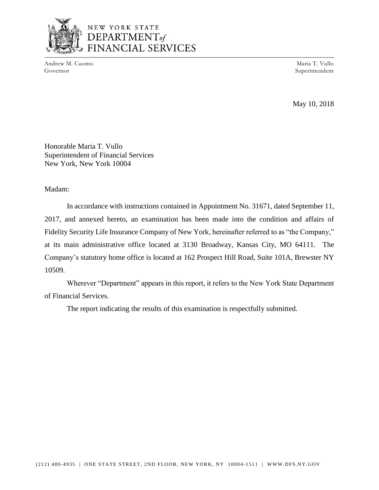

# NEW YORK STATE DEPARTMENT<sub>of</sub> **NCIAL SERVICES**

Andrew M. Cuomo Maria T. Vullo Governor Superintendent Superintendent Superintendent Superintendent Superintendent Superintendent Superintendent Superintendent Superintendent Superintendent Superintendent Superintendent Superintendent Superintendent Sup

May 10, 2018

Honorable Maria T. Vullo Superintendent of Financial Services New York, New York 10004

Madam:

 Fidelity Security Life Insurance Company of New York, hereinafter referred to as "the Company," at its main administrative office located at 3130 Broadway, Kansas City, MO 64111. The In accordance with instructions contained in Appointment No. 31671, dated September 11, 2017, and annexed hereto, an examination has been made into the condition and affairs of Company's statutory home office is located at 162 Prospect Hill Road, Suite 101A, Brewster NY 10509.

 Wherever "Department" appears in this report, it refers to the New York State Department of Financial Services.

The report indicating the results of this examination is respectfully submitted.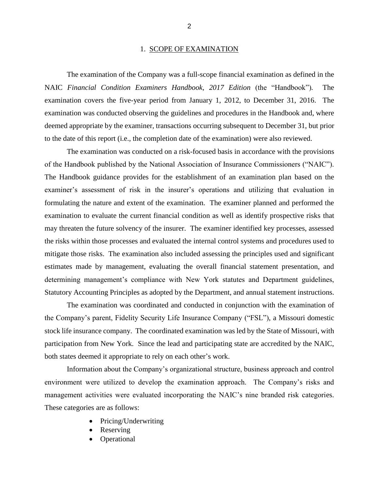### 1. SCOPE OF EXAMINATION

 examination covers the five-year period from January 1, 2012, to December 31, 2016. The deemed appropriate by the examiner, transactions occurring subsequent to December 31, but prior The examination of the Company was a full-scope financial examination as defined in the NAIC *Financial Condition Examiners Handbook, 2017 Edition* (the "Handbook")*.* The examination was conducted observing the guidelines and procedures in the Handbook and, where to the date of this report (i.e., the completion date of the examination) were also reviewed.

 formulating the nature and extent of the examination. The examiner planned and performed the examination to evaluate the current financial condition as well as identify prospective risks that may threaten the future solvency of the insurer. The examiner identified key processes, assessed mitigate those risks. The examination also included assessing the principles used and significant estimates made by management, evaluating the overall financial statement presentation, and Statutory Accounting Principles as adopted by the Department, and annual statement instructions. The examination was conducted on a risk-focused basis in accordance with the provisions of the Handbook published by the National Association of Insurance Commissioners ("NAIC"). The Handbook guidance provides for the establishment of an examination plan based on the examiner's assessment of risk in the insurer's operations and utilizing that evaluation in the risks within those processes and evaluated the internal control systems and procedures used to determining management's compliance with New York statutes and Department guidelines,

 the Company's parent, Fidelity Security Life Insurance Company ("FSL"), a Missouri domestic stock life insurance company. The coordinated examination was led by the State of Missouri, with participation from New York. Since the lead and participating state are accredited by the NAIC, The examination was coordinated and conducted in conjunction with the examination of both states deemed it appropriate to rely on each other's work.

 environment were utilized to develop the examination approach. The Company's risks and management activities were evaluated incorporating the NAIC's nine branded risk categories. These categories are as follows: Information about the Company's organizational structure, business approach and control

- Pricing/Underwriting
- **Reserving**
- **Operational**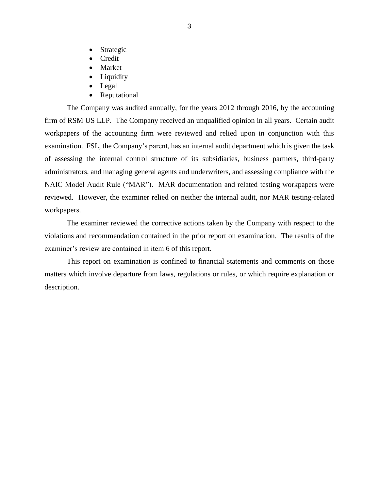- **Strategic**
- Credit
- **Market**
- **Liquidity**
- Legal
- Reputational

 The Company was audited annually, for the years 2012 through 2016, by the accounting firm of RSM US LLP. The Company received an unqualified opinion in all years. Certain audit workpapers of the accounting firm were reviewed and relied upon in conjunction with this reviewed. However, the examiner relied on neither the internal audit, nor MAR testing-related examination. FSL, the Company's parent, has an internal audit department which is given the task of assessing the internal control structure of its subsidiaries, business partners, third-party administrators, and managing general agents and underwriters, and assessing compliance with the NAIC Model Audit Rule ("MAR"). MAR documentation and related testing workpapers were workpapers.

 The examiner reviewed the corrective actions taken by the Company with respect to the violations and recommendation contained in the prior report on examination. The results of the examiner's review are contained in item 6 of this report.

 matters which involve departure from laws, regulations or rules, or which require explanation or This report on examination is confined to financial statements and comments on those description.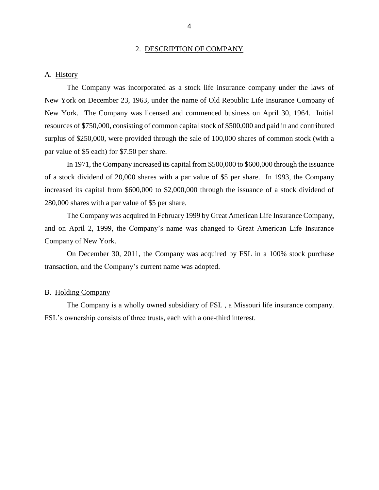#### 2. DESCRIPTION OF COMPANY

### <span id="page-6-0"></span>A. History

 The Company was incorporated as a stock life insurance company under the laws of New York on December 23, 1963, under the name of Old Republic Life Insurance Company of New York. The Company was licensed and commenced business on April 30, 1964. Initial resources of \$750,000, consisting of common capital stock of \$500,000 and paid in and contributed surplus of \$250,000, were provided through the sale of 100,000 shares of common stock (with a par value of \$5 each) for \$7.50 per share.

 In 1971, the Company increased its capital from \$500,000 to \$600,000 through the issuance of a stock dividend of 20,000 shares with a par value of \$5 per share. In 1993, the Company increased its capital from \$600,000 to \$2,000,000 through the issuance of a stock dividend of 280,000 shares with a par value of \$5 per share.

 The Company was acquired in February 1999 by Great American Life Insurance Company, and on April 2, 1999, the Company's name was changed to Great American Life Insurance Company of New York.

 On December 30, 2011, the Company was acquired by FSL in a 100% stock purchase transaction, and the Company's current name was adopted.

### B. Holding Company

 The Company is a wholly owned subsidiary of FSL , a Missouri life insurance company. FSL's ownership consists of three trusts, each with a one-third interest.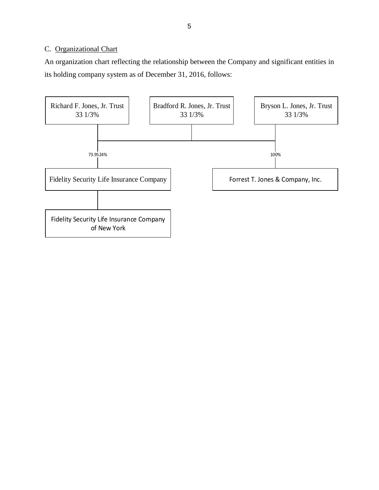## <span id="page-7-0"></span>C. Organizational Chart

 An organization chart reflecting the relationship between the Company and significant entities in its holding company system as of December 31, 2016, follows:

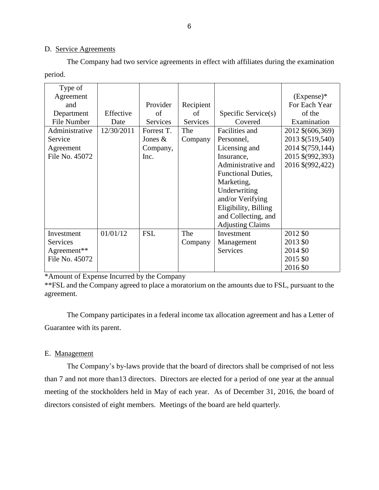### D. Service Agreements

 The Company had two service agreements in effect with affiliates during the examination period.

| Type of         |            |            |           |                           |                  |
|-----------------|------------|------------|-----------|---------------------------|------------------|
| Agreement       |            |            |           |                           | $(Express)^*$    |
| and             |            | Provider   | Recipient |                           | For Each Year    |
| Department      | Effective  | of         | of        | Specific Service(s)       | of the           |
| File Number     | Date       | Services   | Services  | Covered                   | Examination      |
| Administrative  | 12/30/2011 | Forrest T. | The       | Facilities and            | 2012 \$(606,369) |
| Service         |            | Jones $\&$ | Company   | Personnel,                | 2013 \$(519,540) |
| Agreement       |            | Company,   |           | Licensing and             | 2014 \$(759,144) |
| File No. 45072  |            | Inc.       |           | Insurance,                | 2015 \$(992,393) |
|                 |            |            |           | Administrative and        | 2016 \$(992,422) |
|                 |            |            |           | <b>Functional Duties,</b> |                  |
|                 |            |            |           | Marketing,                |                  |
|                 |            |            |           | Underwriting              |                  |
|                 |            |            |           | and/or Verifying          |                  |
|                 |            |            |           | Eligibility, Billing      |                  |
|                 |            |            |           | and Collecting, and       |                  |
|                 |            |            |           | <b>Adjusting Claims</b>   |                  |
| Investment      | 01/01/12   | <b>FSL</b> | The       | Investment                | 2012 \$0         |
| <b>Services</b> |            |            | Company   | Management                | 2013 \$0         |
| Agreement**     |            |            |           | <b>Services</b>           | 2014 \$0         |
| File No. 45072  |            |            |           |                           | 2015 \$0         |
|                 |            |            |           |                           | 2016 \$0         |

\*Amount of Expense Incurred by the Company

 \*\*FSL and the Company agreed to place a moratorium on the amounts due to FSL, pursuant to the agreement.

 The Company participates in a federal income tax allocation agreement and has a Letter of Guarantee with its parent.

### E. Management

 The Company's by-laws provide that the board of directors shall be comprised of not less than 7 and not more than13 directors. Directors are elected for a period of one year at the annual meeting of the stockholders held in May of each year. As of December 31, 2016, the board of directors consisted of eight members. Meetings of the board are held quarterl*y.*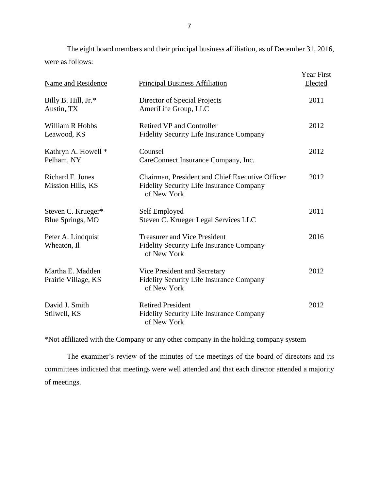The eight board members and their principal business affiliation, as of December 31, 2016, were as follows:

| Name and Residence                           | <b>Principal Business Affiliation</b>                                                                             | <b>Year First</b><br>Elected |
|----------------------------------------------|-------------------------------------------------------------------------------------------------------------------|------------------------------|
| Billy B. Hill, Jr.*<br>Austin, TX            | Director of Special Projects<br>AmeriLife Group, LLC                                                              | 2011                         |
| William R Hobbs<br>Leawood, KS               | <b>Retired VP and Controller</b><br><b>Fidelity Security Life Insurance Company</b>                               | 2012                         |
| Kathryn A. Howell *<br>Pelham, NY            | Counsel<br>CareConnect Insurance Company, Inc.                                                                    | 2012                         |
| <b>Richard F. Jones</b><br>Mission Hills, KS | Chairman, President and Chief Executive Officer<br><b>Fidelity Security Life Insurance Company</b><br>of New York | 2012                         |
| Steven C. Krueger*<br>Blue Springs, MO       | Self Employed<br>Steven C. Krueger Legal Services LLC                                                             | 2011                         |
| Peter A. Lindquist<br>Wheaton, Il            | <b>Treasurer and Vice President</b><br>Fidelity Security Life Insurance Company<br>of New York                    | 2016                         |
| Martha E. Madden<br>Prairie Village, KS      | Vice President and Secretary<br><b>Fidelity Security Life Insurance Company</b><br>of New York                    | 2012                         |
| David J. Smith<br>Stilwell, KS               | <b>Retired President</b><br>Fidelity Security Life Insurance Company<br>of New York                               | 2012                         |

\*Not affiliated with the Company or any other company in the holding company system

 committees indicated that meetings were well attended and that each director attended a majority The examiner's review of the minutes of the meetings of the board of directors and its of meetings.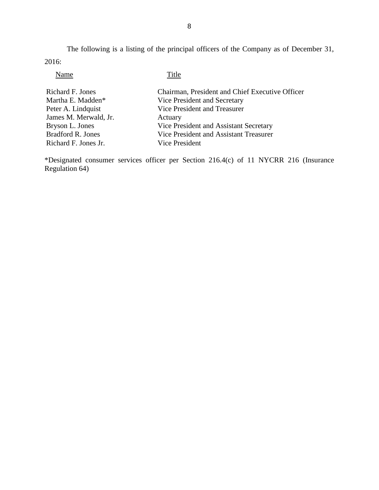The following is a listing of the principal officers of the Company as of December 31, 2016:

## Name Title

| Richard F. Jones      | Chairman, President and Chief Executive Officer |
|-----------------------|-------------------------------------------------|
| Martha E. Madden*     | Vice President and Secretary                    |
| Peter A. Lindquist    | Vice President and Treasurer                    |
| James M. Merwald, Jr. | Actuary                                         |
| Bryson L. Jones       | Vice President and Assistant Secretary          |
| Bradford R. Jones     | Vice President and Assistant Treasurer          |
| Richard F. Jones Jr.  | Vice President                                  |

\*Designated consumer services officer per Section 216.4(c) of 11 NYCRR 216 (Insurance Regulation 64)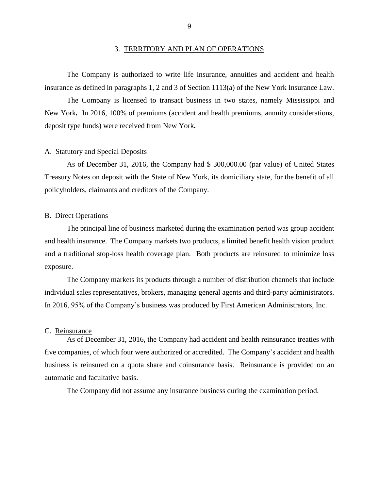<span id="page-11-0"></span> The Company is authorized to write life insurance, annuities and accident and health insurance as defined in paragraphs 1, 2 and 3 of Section 1113(a) of the New York Insurance Law.

 The Company is licensed to transact business in two states, namely Mississippi and deposit type funds) were received from New York*.* New York*.* In 2016, 100% of premiums (accident and health premiums, annuity considerations,

### A. Statutory and Special Deposits

 Treasury Notes on deposit with the State of New York, its domiciliary state, for the benefit of all As of December 31, 2016, the Company had \$ [300,000.00](https://300,000.00) (par value) of United States policyholders, claimants and creditors of the Company.

### B. Direct Operations

 The principal line of business marketed during the examination period was group accident and a traditional stop-loss health coverage plan. Both products are reinsured to minimize loss and health insurance. The Company markets two products, a limited benefit health vision product exposure.

The Company markets its products through a number of distribution channels that include individual sales representatives, brokers, managing general agents and third-party administrators. In 2016, 95% of the Company's business was produced by First American Administrators, Inc.

#### C. Reinsurance

 As of December 31, 2016, the Company had accident and health reinsurance treaties with business is reinsured on a quota share and coinsurance basis. Reinsurance is provided on an five companies, of which four were authorized or accredited. The Company's accident and health automatic and facultative basis.

The Company did not assume any insurance business during the examination period.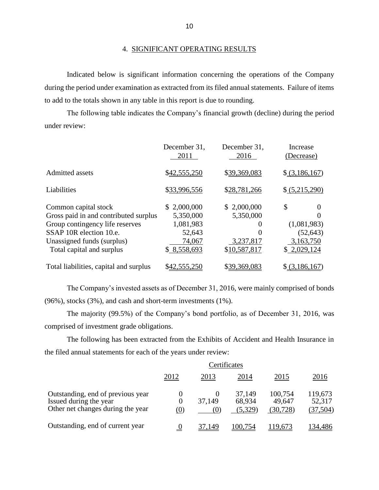#### 4. SIGNIFICANT OPERATING RESULTS

 during the period under examination as extracted from its filed annual statements. Failure of items Indicated below is significant information concerning the operations of the Company to add to the totals shown in any table in this report is due to rounding.

 The following table indicates the Company's financial growth (decline) during the period under review:

|                                                                                                                                                                                        | December 31,<br>2011                                                     | December 31,<br>2016                                                   | Increase<br>(Decrease)                                          |
|----------------------------------------------------------------------------------------------------------------------------------------------------------------------------------------|--------------------------------------------------------------------------|------------------------------------------------------------------------|-----------------------------------------------------------------|
| Admitted assets                                                                                                                                                                        | \$42,555,250                                                             | \$39,369,083                                                           | $\{(3,186,167)\}$                                               |
| Liabilities                                                                                                                                                                            | \$33,996,556                                                             | \$28,781,266                                                           | \$ (5,215,290)                                                  |
| Common capital stock<br>Gross paid in and contributed surplus<br>Group contingency life reserves<br>SSAP 10R election 10.e.<br>Unassigned funds (surplus)<br>Total capital and surplus | \$2,000,000<br>5,350,000<br>1,081,983<br>52,643<br>74,067<br>\$8,558,693 | \$2,000,000<br>5,350,000<br>$\theta$<br>0<br>3,237,817<br>\$10,587,817 | \$<br>O<br>(1,081,983)<br>(52, 643)<br>3,163,750<br>\$2,029,124 |
| Total liabilities, capital and surplus                                                                                                                                                 | \$42,555,250                                                             | \$39,369,083                                                           | $$$ (3,186,167)                                                 |

 The Company's invested assets as of December 31, 2016, were mainly comprised of bonds (96%), stocks (3%), and cash and short-term investments (1%).

 The majority (99.5%) of the Company's bond portfolio, as of December 31, 2016, was comprised of investment grade obligations.

 The following has been extracted from the Exhibits of Accident and Health Insurance in the filed annual statements for each of the years under review:

|                                                                                                  | Certificates                |                           |                             |                                |                                |
|--------------------------------------------------------------------------------------------------|-----------------------------|---------------------------|-----------------------------|--------------------------------|--------------------------------|
|                                                                                                  | 2012                        | 2013                      | 2014                        | 2015                           | 2016                           |
| Outstanding, end of previous year<br>Issued during the year<br>Other net changes during the year | $\theta$<br>$\theta$<br>(0) | $\theta$<br>37.149<br>(0) | 37,149<br>68,934<br>(5,329) | 100,754<br>49,647<br>(30, 728) | 119,673<br>52,317<br>(37, 504) |
| Outstanding, end of current year                                                                 | <u>0</u>                    | 37,149                    | 100,754                     | 119,673                        | 134,486                        |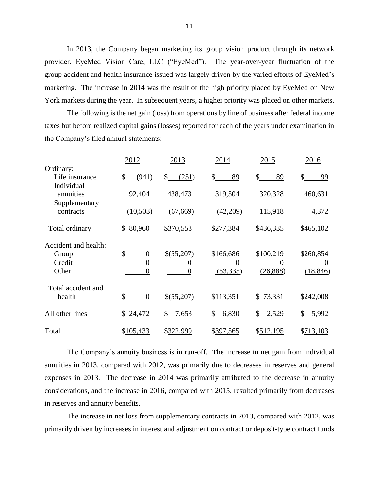provider, EyeMed Vision Care, LLC ("EyeMed"). The year-over-year fluctuation of the marketing. The increase in 2014 was the result of the high priority placed by EyeMed on New In 2013, the Company began marketing its group vision product through its network group accident and health insurance issued was largely driven by the varied efforts of EyeMed's York markets during the year. In subsequent years, a higher priority was placed on other markets.

 The following is the net gain (loss) from operations by line of business after federal income taxes but before realized capital gains (losses) reported for each of the years under examination in the Company's filed annual statements:

|                                          | 2012                   | 2013                  | 2014        | 2015         | 2016      |
|------------------------------------------|------------------------|-----------------------|-------------|--------------|-----------|
| Ordinary:                                |                        |                       |             |              |           |
| Life insurance                           | \$<br>(941)            | \$<br>(251)           | \$<br>89    | \$<br>89     | \$<br>99  |
| Individual<br>annuities<br>Supplementary | 92,404                 | 438,473               | 319,504     | 320,328      | 460,631   |
| contracts                                | (10,503)               | (67, 669)             | (42,209)    | 115,918      | 4,372     |
| Total ordinary                           | \$80,960               | \$370,553             | \$277,384   | \$436,335    | \$465,102 |
| Accident and health:                     |                        |                       |             |              |           |
| Group                                    | \$<br>$\overline{0}$   | \$(55,207)            | \$166,686   | \$100,219    | \$260,854 |
| Credit                                   | $\theta$               | $\theta$              | 0           | $\mathbf{0}$ | $\theta$  |
| Other                                    | $\Omega$               | $\overline{0}$        | (53,335)    | (26,888)     | (18, 846) |
| Total accident and                       |                        |                       |             |              |           |
| health                                   | \$<br>$\boldsymbol{0}$ | \$(55,207)            | \$113,351   | \$73,331     | \$242,008 |
| All other lines                          | \$24,472               | 7,653<br>$\mathbb{S}$ | \$<br>6,830 | \$ 2,529     | \$ 5,992  |
| Total                                    | \$105,433              | \$322,999             | \$397,565   | \$512,195    | \$713,103 |

 The Company's annuity business is in run-off. The increase in net gain from individual expenses in 2013. The decrease in 2014 was primarily attributed to the decrease in annuity considerations, and the increase in 2016, compared with 2015, resulted primarily from decreases annuities in 2013, compared with 2012, was primarily due to decreases in reserves and general in reserves and annuity benefits.

 The increase in net loss from supplementary contracts in 2013, compared with 2012, was primarily driven by increases in interest and adjustment on contract or deposit-type contract funds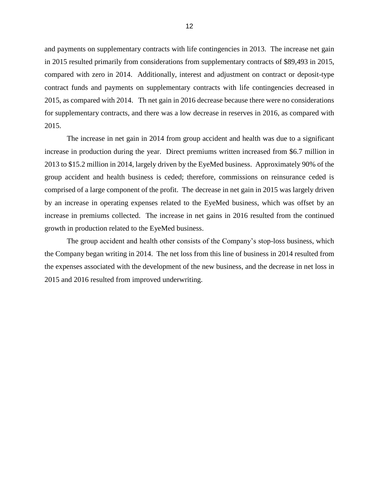and payments on supplementary contracts with life contingencies in 2013. The increase net gain 2015, as compared with 2014. Th net gain in 2016 decrease because there were no considerations for supplementary contracts, and there was a low decrease in reserves in 2016, as compared with in 2015 resulted primarily from considerations from supplementary contracts of \$89,493 in 2015, compared with zero in 2014. Additionally, interest and adjustment on contract or deposit-type contract funds and payments on supplementary contracts with life contingencies decreased in 2015.

 comprised of a large component of the profit. The decrease in net gain in 2015 was largely driven by an increase in operating expenses related to the EyeMed business, which was offset by an The increase in net gain in 2014 from group accident and health was due to a significant increase in production during the year. Direct premiums written increased from \$6.7 million in 2013 to \$15.2 million in 2014, largely driven by the EyeMed business. Approximately 90% of the group accident and health business is ceded; therefore, commissions on reinsurance ceded is increase in premiums collected. The increase in net gains in 2016 resulted from the continued growth in production related to the EyeMed business.

 The group accident and health other consists of the Company's stop-loss business, which the Company began writing in 2014. The net loss from this line of business in 2014 resulted from the expenses associated with the development of the new business, and the decrease in net loss in 2015 and 2016 resulted from improved underwriting.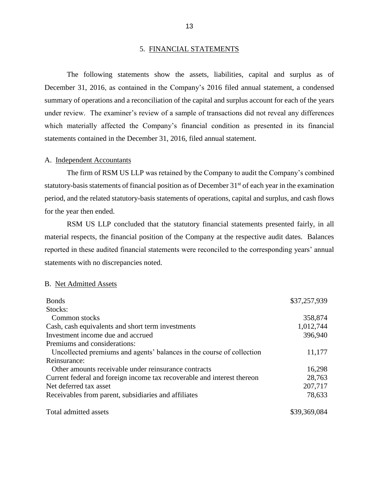### 5. FINANCIAL STATEMENTS

 The following statements show the assets, liabilities, capital and surplus as of December 31, 2016, as contained in the Company's 2016 filed annual statement, a condensed summary of operations and a reconciliation of the capital and surplus account for each of the years under review. The examiner's review of a sample of transactions did not reveal any differences which materially affected the Company's financial condition as presented in its financial statements contained in the December 31, 2016, filed annual statement.

### A. Independent Accountants

 The firm of RSM US LLP was retained by the Company to audit the Company's combined statutory-basis statements of financial position as of December 31<sup>st</sup> of each year in the examination period, and the related statutory-basis statements of operations, capital and surplus, and cash flows for the year then ended.

 material respects, the financial position of the Company at the respective audit dates. Balances reported in these audited financial statements were reconciled to the corresponding years' annual RSM US LLP concluded that the statutory financial statements presented fairly, in all statements with no discrepancies noted.

#### B. Net Admitted Assets

| <b>Bonds</b>                                                            | \$37,257,939 |
|-------------------------------------------------------------------------|--------------|
| Stocks:                                                                 |              |
| Common stocks                                                           | 358,874      |
| Cash, cash equivalents and short term investments                       | 1,012,744    |
| Investment income due and accrued                                       | 396,940      |
| Premiums and considerations:                                            |              |
| Uncollected premiums and agents' balances in the course of collection   | 11,177       |
| Reinsurance:                                                            |              |
| Other amounts receivable under reinsurance contracts                    | 16,298       |
| Current federal and foreign income tax recoverable and interest thereon | 28,763       |
| Net deferred tax asset                                                  | 207,717      |
| Receivables from parent, subsidiaries and affiliates                    | 78,633       |
| Total admitted assets                                                   | \$39,369,084 |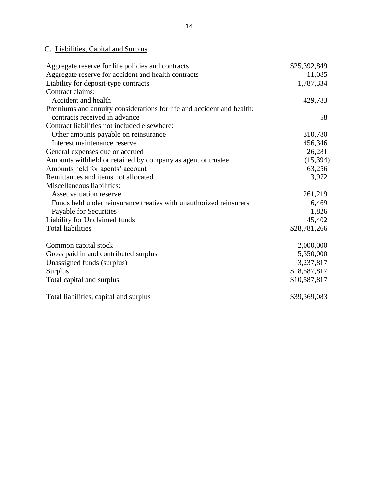# C. Liabilities, Capital and Surplus

| Aggregate reserve for life policies and contracts                     | \$25,392,849 |
|-----------------------------------------------------------------------|--------------|
| Aggregate reserve for accident and health contracts                   | 11,085       |
| Liability for deposit-type contracts                                  | 1,787,334    |
| Contract claims:                                                      |              |
| Accident and health                                                   | 429,783      |
| Premiums and annuity considerations for life and accident and health: |              |
| contracts received in advance                                         | 58           |
| Contract liabilities not included elsewhere:                          |              |
| Other amounts payable on reinsurance                                  | 310,780      |
| Interest maintenance reserve                                          | 456,346      |
| General expenses due or accrued                                       | 26,281       |
| Amounts withheld or retained by company as agent or trustee           | (15, 394)    |
| Amounts held for agents' account                                      | 63,256       |
| Remittances and items not allocated                                   | 3,972        |
| Miscellaneous liabilities:                                            |              |
| Asset valuation reserve                                               | 261,219      |
| Funds held under reinsurance treaties with unauthorized reinsurers    | 6,469        |
| Payable for Securities                                                | 1,826        |
| Liability for Unclaimed funds                                         | 45,402       |
| <b>Total liabilities</b>                                              | \$28,781,266 |
| Common capital stock                                                  | 2,000,000    |
| Gross paid in and contributed surplus                                 | 5,350,000    |
| Unassigned funds (surplus)                                            | 3,237,817    |
| Surplus                                                               | \$8,587,817  |
| Total capital and surplus                                             | \$10,587,817 |
| Total liabilities, capital and surplus                                | \$39,369,083 |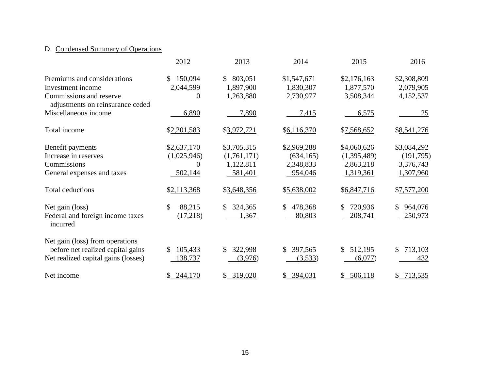## <span id="page-17-0"></span>D. Condensed Summary of Operations

|                                                                                                                 | 2012                                              | 2013                                               | 2014                                              | 2015                                                 | 2016                                               |
|-----------------------------------------------------------------------------------------------------------------|---------------------------------------------------|----------------------------------------------------|---------------------------------------------------|------------------------------------------------------|----------------------------------------------------|
| Premiums and considerations<br>Investment income<br>Commissions and reserve<br>adjustments on reinsurance ceded | 150,094<br>\$<br>2,044,599<br>$\Omega$            | 803,051<br><sup>\$</sup><br>1,897,900<br>1,263,880 | \$1,547,671<br>1,830,307<br>2,730,977             | \$2,176,163<br>1,877,570<br>3,508,344                | \$2,308,809<br>2,079,905<br>4,152,537              |
| Miscellaneous income                                                                                            | 6,890                                             | 7,890                                              | 7,415                                             | 6,575                                                | <u>25</u>                                          |
| Total income                                                                                                    | \$2,201,583                                       | \$3,972,721                                        | \$6,116,370                                       | \$7,568,652                                          | \$8,541,276                                        |
| Benefit payments<br>Increase in reserves<br>Commissions<br>General expenses and taxes                           | \$2,637,170<br>(1,025,946)<br>$\theta$<br>502,144 | \$3,705,315<br>(1,761,171)<br>1,122,811<br>581,401 | \$2,969,288<br>(634, 165)<br>2,348,833<br>954,046 | \$4,060,626<br>(1,395,489)<br>2,863,218<br>1,319,361 | \$3,084,292<br>(191,795)<br>3,376,743<br>1,307,960 |
| <b>Total deductions</b>                                                                                         | \$2,113,368                                       | \$3,648,356                                        | \$5,638,002                                       | \$6,847,716                                          | \$7,577,200                                        |
| Net gain (loss)<br>Federal and foreign income taxes<br>incurred                                                 | \$<br>88,215<br>(17,218)                          | 324,365<br>\$<br>1,367                             | 478,368<br>\$<br>80,803                           | \$<br>720,936<br>208,741                             | 964,076<br>\$<br>250,973                           |
| Net gain (loss) from operations<br>before net realized capital gains<br>Net realized capital gains (losses)     | 105,433<br>S.<br>138,737                          | 322,998<br>\$.<br>(3,976)                          | 397,565<br>S.<br>(3,533)                          | \$<br>512,195<br>(6,077)                             | 713,103<br>S.<br>432                               |
| Net income                                                                                                      | 244,170                                           | \$319,020                                          | \$294,031                                         | \$ 506,118                                           | \$ 713,535                                         |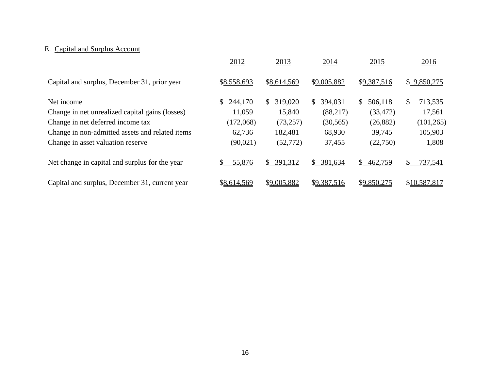# E. Capital and Surplus Account

|                                                 | 2012          | 2013                     | 2014          | 2015                    | 2016          |
|-------------------------------------------------|---------------|--------------------------|---------------|-------------------------|---------------|
| Capital and surplus, December 31, prior year    | \$8,558,693   | \$8,614,569              | \$9,005,882   | \$9,387,516             | \$9,850,275   |
| Net income                                      | 244,170<br>S. | 319,020<br>S.            | S.<br>394,031 | S.<br>506,118           | \$<br>713,535 |
| Change in net unrealized capital gains (losses) | 11,059        | 15,840                   | (88, 217)     | (33, 472)               | 17,561        |
| Change in net deferred income tax               | (172,068)     | (73, 257)                | (30, 565)     | (26, 882)               | (101, 265)    |
| Change in non-admitted assets and related items | 62,736        | 182,481                  | 68,930        | 39,745                  | 105,903       |
| Change in asset valuation reserve               | (90, 021)     | (52, 772)                | 37,455        | (22,750)                | 1,808         |
| Net change in capital and surplus for the year  | 55,876<br>S.  | 391,312<br><sup>\$</sup> | \$381,634     | $\mathbb{S}$<br>462,759 | 737,541<br>S. |
| Capital and surplus, December 31, current year  | \$8,614,569   | \$9,005,882              | \$9,387,516   | \$9,850,275             | \$10,587,817  |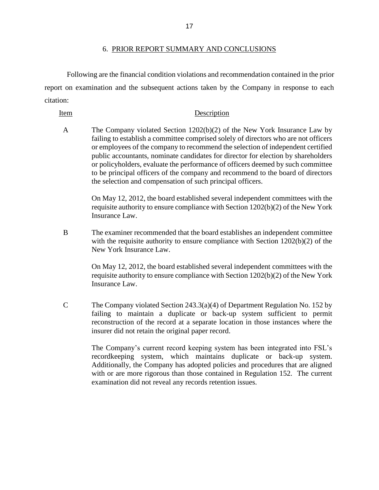<span id="page-19-0"></span>Following are the financial condition violations and recommendation contained in the prior report on examination and the subsequent actions taken by the Company in response to each citation:

### Item Description

 A The Company violated Section 1202(b)(2) of the New York Insurance Law by failing to establish a committee comprised solely of directors who are not officers or employees of the company to recommend the selection of independent certified public accountants, nominate candidates for director for election by shareholders or policyholders, evaluate the performance of officers deemed by such committee to be principal officers of the company and recommend to the board of directors the selection and compensation of such principal officers.

> On May 12, 2012, the board established several independent committees with the requisite authority to ensure compliance with Section 1202(b)(2) of the New York Insurance Law.

with the requisite authority to ensure compliance with Section 1202(b)(2) of the New York Insurance Law B The examiner recommended that the board establishes an independent committee

New York Insurance Law.<br>On May 12, 2012, the board established several independent committees with the requisite authority to ensure compliance with Section 1202(b)(2) of the New York Insurance Law.

 C The Company violated Section 243.3(a)(4) of Department Regulation No. 152 by reconstruction of the record at a separate location in those instances where the failing to maintain a duplicate or back-up system sufficient to permit insurer did not retain the original paper record.

> recordkeeping system, which maintains duplicate or back-up system. Additionally, the Company has adopted policies and procedures that are aligned with or are more rigorous than those contained in Regulation 152. The current The Company's current record keeping system has been integrated into FSL's examination did not reveal any records retention issues.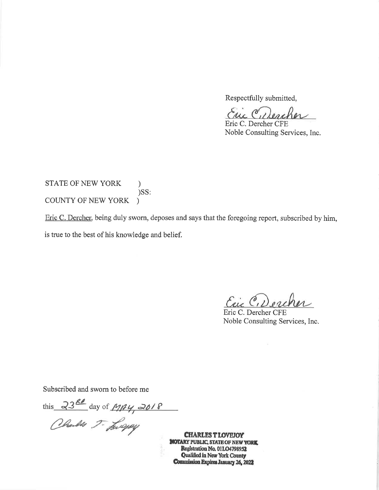Respectfully submitted,

Eric C, Dercher

Eric C. Dercher CFE Noble Consulting Services, Inc.

STATE OF NEW YORK  $\mathcal{L}$  $)$ SS: COUNTY OF NEW YORK

Eric C. Dercher, being duly sworn, deposes and says that the foregoing report, subscribed by him, is true to the best of his knowledge and belief.

Ein C, Dercher

Eric C. Dercher CFE Noble Consulting Services, Inc.

Subscribed and sworn to before me

this 23<sup>80</sup> day of  $M \beta$ 4, 2018

**CHARLES T LOVEJOY BIOTARY PUBLIC, STATE OF NEW YORK** Registration No. 01LO4798952 Qualified in New York County Commission Expires January 26, 2022